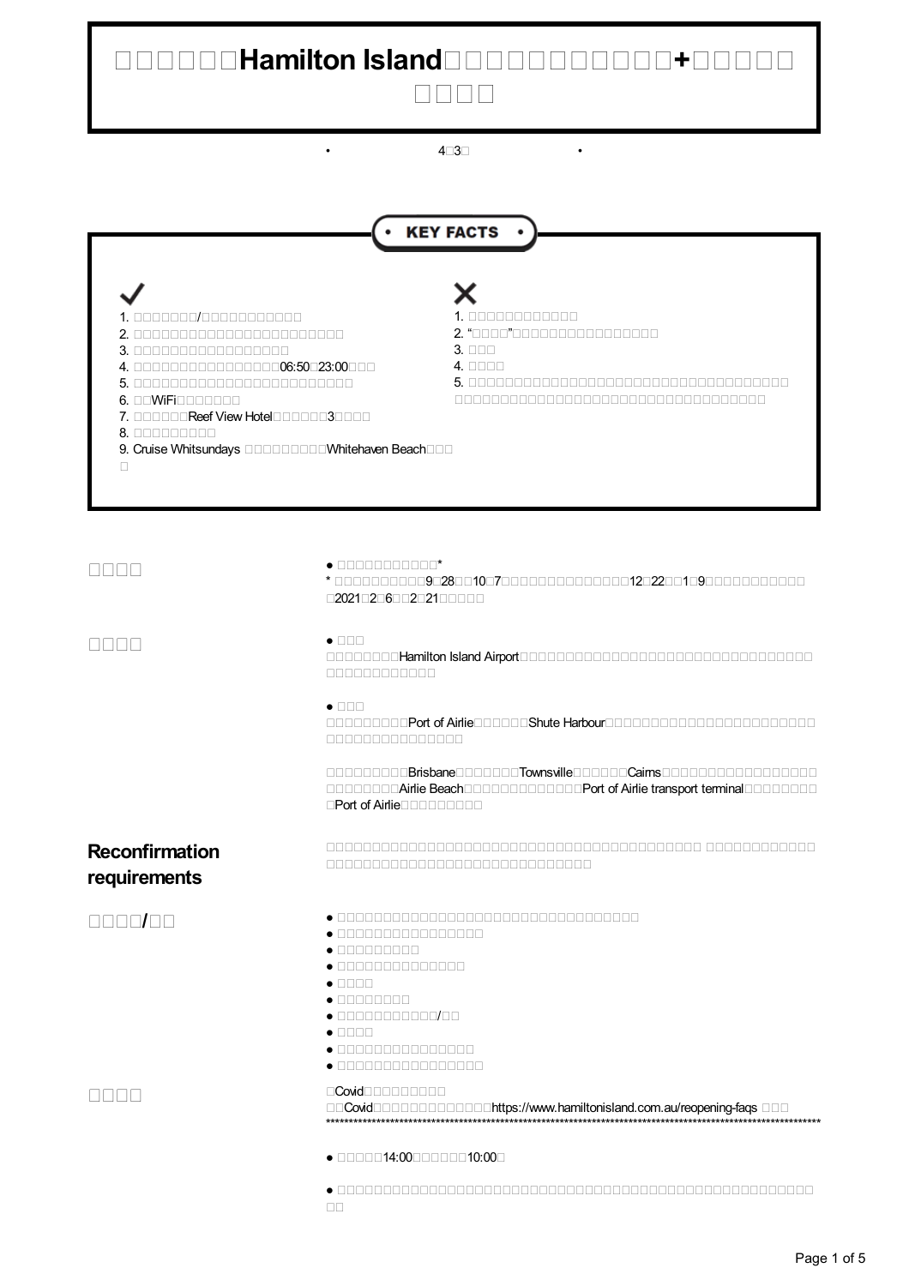# **Hamilton Island+**  $\Box \Box \Box \Box$

 $4 \overline{\smash{\cap}} 3 \overline{\smash{\cap}}$ 

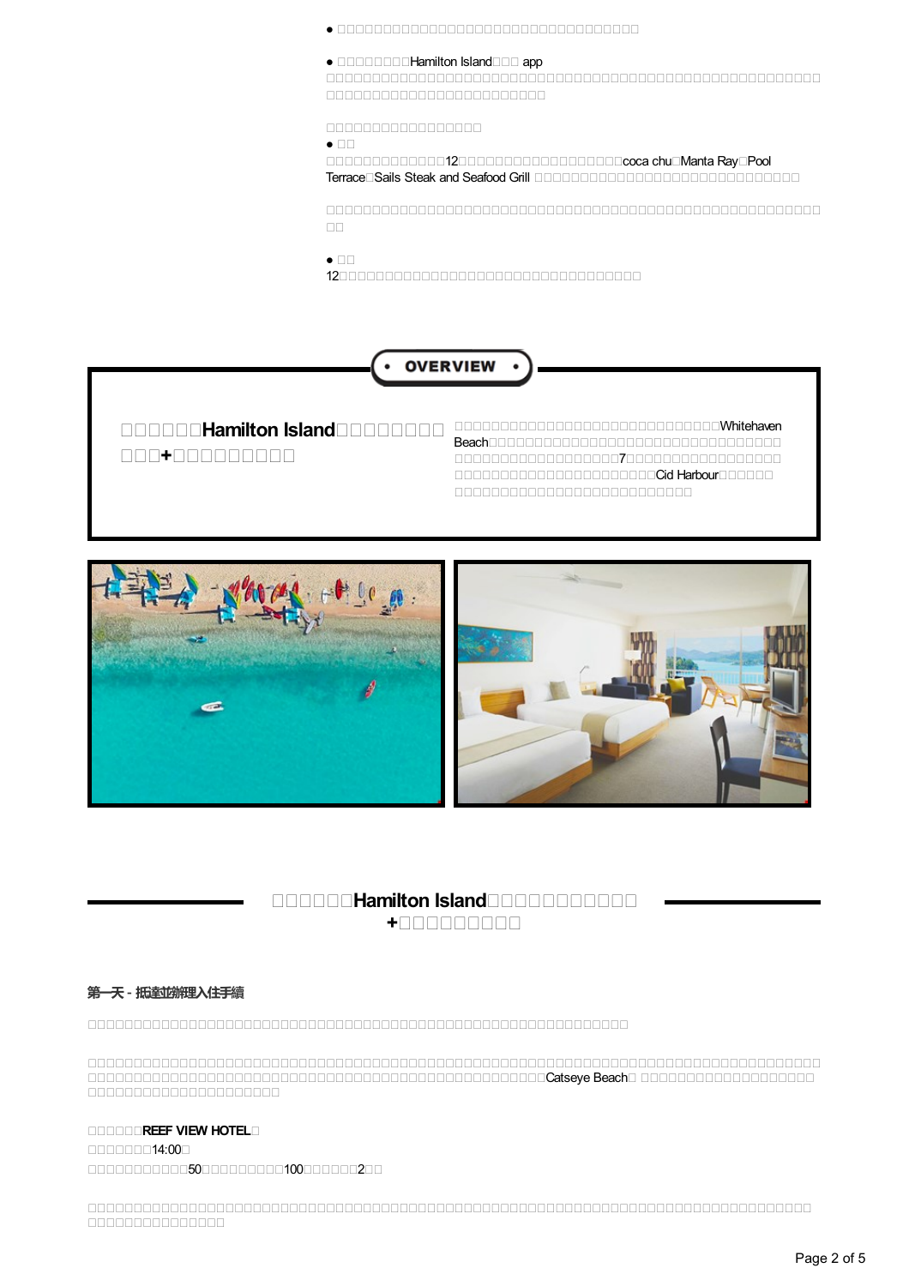- ●
- $\bullet$  **Hamilton** Island **Familton**  $\bullet$  **Familton**  $\bullet$

 

 $\bullet$   $\Pi$ 

na ann an 12coca chuann ann an Coca chuann ann an Coca chuann an Coca chuann an Coca chuann an Coca chuann an TerraceSails Steak and Seafood Grill

  $\square\square$ 

 $\bullet$   $\Pi$ 

12



**+**

**Hamilton Island** Beach 7 Cid Harbour December 2000 Cid Harbour 



# **HAMILTON Island +**

## **第一天- 抵達並辦理入住手續**

 Catseye Beach 

### **REEF VIEW HOTEL**

11111111114:001 501002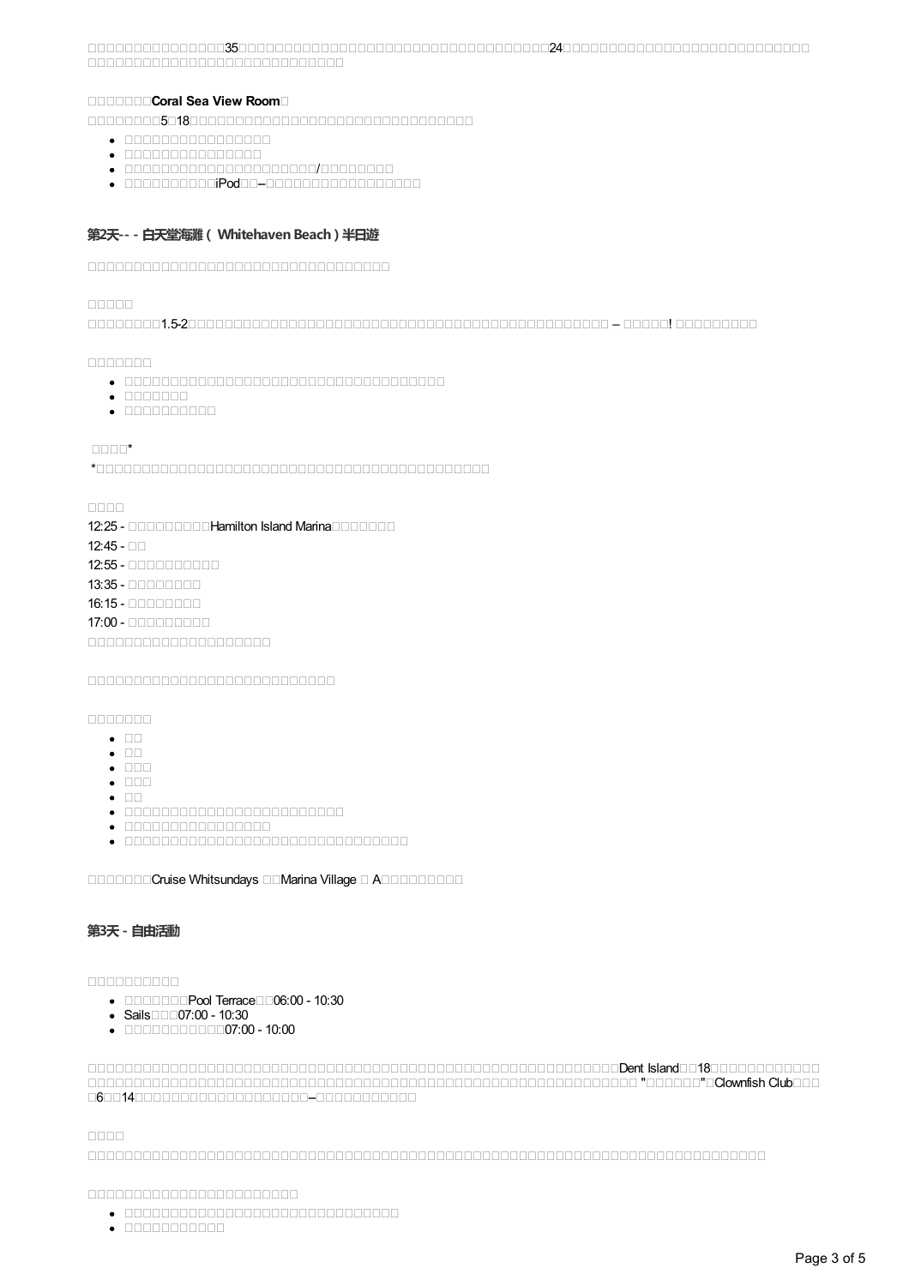3524 <u>nononononononononononono</u>

#### **Coral Sea View Room**

518

- $\bullet$  000000000000000
- 
- /
- $\bullet$  0000000000iPod00-00000000000000000

#### **第2天-- - 白天堂海灘( Whitehaven Beach)半日遊**

#### nnnnn

1.5-2 – !

 $00000000$ 

- 
- $\bullet$  connoon
- $\bullet \quad \textcolor{red}{\textbf{11}} \textcolor{red}{\textbf{11}} \textcolor{red}{\textbf{11}} \textcolor{red}{\textbf{11}} \textcolor{red}{\textbf{11}} \textcolor{red}{\textbf{11}} \textcolor{red}{\textbf{11}}$

 $\Box\Box\Box\Box^{\star}$ 

\*

#### nnnn

12:25 - Hamilton Island Marina **Hamilton Island Marina**  $12.45 - \square$ 12:55 -

13:35 - 000000000

16:15 -

17:00 - 0000000000

 $00000000$ 

- $\bullet$  00
- $\bullet$   $\Box\Box$
- $\bullet$  000
- $\bullet$   $\Pi\Pi$
- $\bullet$   $\Pi$
- 
- $\bullet$  0000000000000000
- 

CORPORATION Cruise Whitsundays **COMarina Village C ACCORPORATION** 

#### **第3天- 自由活動**

#### nnnnnnnnn

- Pool Terrace06:00 10:30
- Sails $\square\square\square$ 07:00 10:30
- $\bullet$  0000000000007:00 10:00

Den Island Island Islam 1800 had a strengthen and the international Control of the Universe of the Island Island Island Island Island Island Island Island Island Island Island Island Island Island Island Island Island Isla ""Clownfish Club 614--

nnnn.

- 
- $\bullet$  nonnononono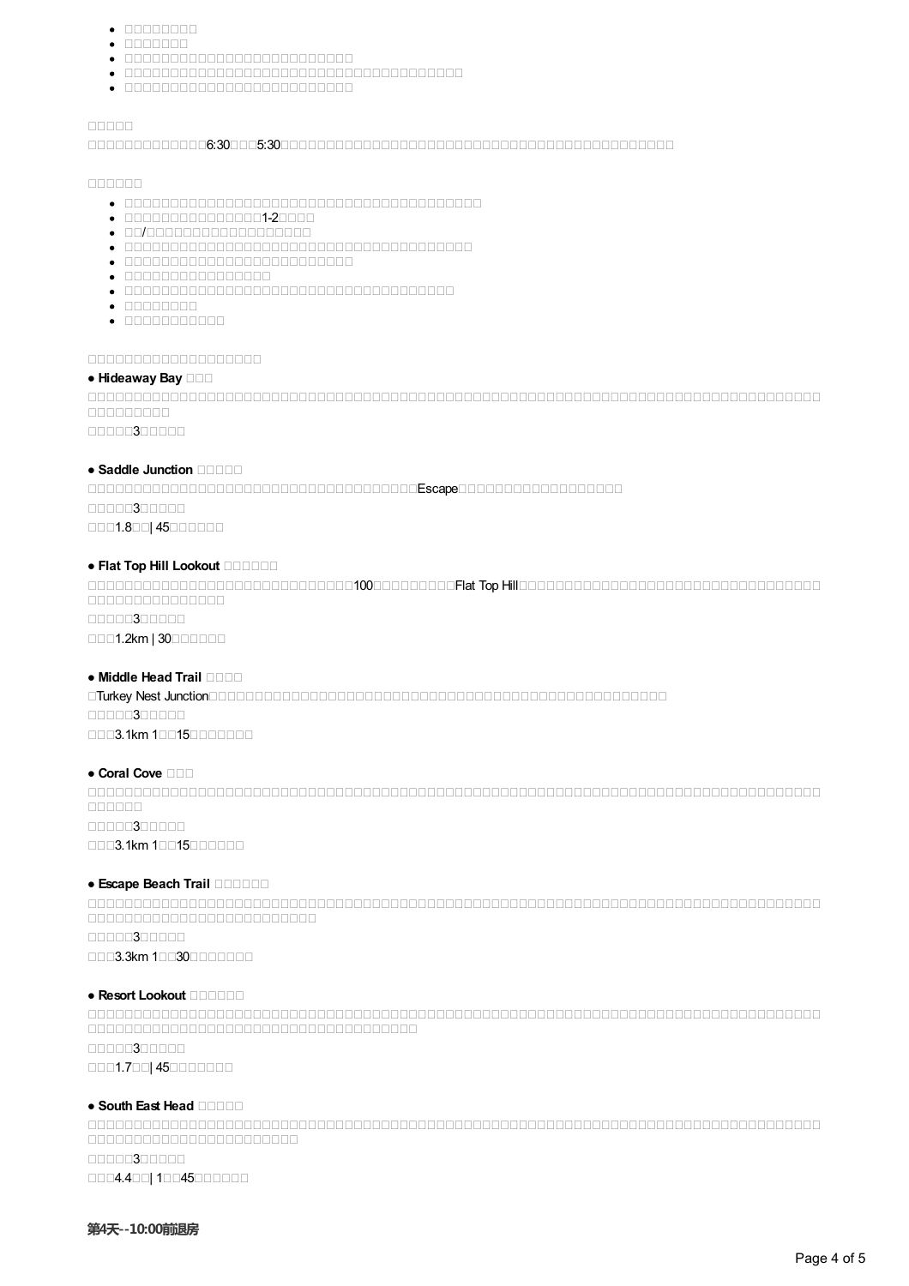- $\bullet$  00000000
- $\bullet$  0000000
- 
- 
- 

#### nnnnn

#### 6:305:30

#### 

- 
- $\bullet$
- $\bullet$  00/0000000000000000000
- 
- 
- $\bullet$  nonononononono
- 
- $\bullet$  concerned
- 

#### 

#### **● Hideaway Bay**

 nnnnnnnn

10000**3**00000

#### ● **Saddle Junction**

Escape 0000300000 0001.800 45000000

#### ● **Flat Top Hill Lookout**

100Flat Top Hill 000000000000000 00000300000

**0001.2km | 30000000** 

#### ● **Middle Head Trail**

Turkey Nest Junction 00000300000 0003.1km 100150000000

#### ● **Coral Cove** □□□

 nnnnnn. 00000300000 0003.1km 10015000000

#### ● **Escape Beach Trail**

 

00000300000

0003.3km 100300000000

#### ● **Resort Lookout**

 00000300000

0001.700 450000000

#### ● **South East Head**

 

00000300000 0004.400 10045000000